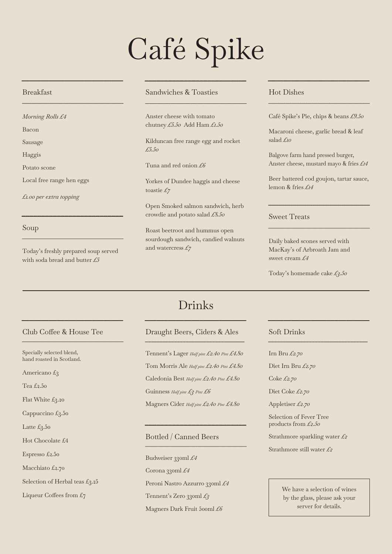# Café Spike

*\_\_\_\_\_\_\_\_\_\_\_\_\_\_\_\_\_\_\_\_\_\_\_\_\_\_*

*\_\_\_\_\_\_\_\_\_\_\_\_\_\_\_\_\_\_\_\_\_\_\_\_\_\_\_\_\_\_\_\_\_\_\_\_\_\_\_\_\_\_\_\_\_\_\_\_\_\_\_\_*

## Breakfast

*Morning Rolls £4*

*\_\_\_\_\_\_\_\_\_\_\_\_\_\_\_\_\_\_\_\_\_\_\_\_\_\_*

*\_\_\_\_\_\_\_\_\_\_\_\_\_\_\_\_\_\_\_\_\_\_\_\_\_\_\_\_\_\_\_\_\_\_\_\_\_\_\_\_\_\_\_\_\_\_\_\_\_\_\_\_*

Bacon

Sausage

Haggis

Potato scone

Local free range hen eggs

*£1.00 per extra topping*

## Soup

Today's freshly prepared soup served with soda bread and butter *£5*

*\_\_\_\_\_\_\_\_\_\_\_\_\_\_\_\_\_\_\_\_\_\_\_\_\_\_*

*\_\_\_\_\_\_\_\_\_\_\_\_\_\_\_\_\_\_\_\_\_\_\_\_\_\_\_\_\_\_\_\_\_\_\_\_\_\_\_\_\_\_\_\_\_\_\_\_\_\_\_\_*

## Sandwiches & Toasties

Anster cheese with tomato chutney *£5.50* Add Ham *£1.50*

Kilduncan free range egg and rocket *£5.50*

Tuna and red onion *£6*

Yorkes of Dundee haggis and cheese toastie *£7*

Open Smoked salmon sandwich, herb crowdie and potato salad *£8.50*

Roast beetroot and hummus open sourdough sandwich, candied walnuts and watercress *£7*

## Hot Dishes

Café Spike's Pie, chips & beans *£9.50*

*\_\_\_\_\_\_\_\_\_\_\_\_\_\_\_\_\_\_\_\_\_\_\_\_\_\_*

*\_\_\_\_\_\_\_\_\_\_\_\_\_\_\_\_\_\_\_\_\_\_\_\_\_\_\_\_\_\_\_\_\_\_\_\_\_\_\_\_\_\_\_\_\_\_\_\_\_\_\_\_*

Macaroni cheese, garlic bread & leaf salad *£10*

Balgove farm hand pressed burger, Anster cheese, mustard mayo & fries *£14*

Beer battered cod goujon, tartar sauce, lemon & fries *£14*

*\_\_\_\_\_\_\_\_\_\_\_\_\_\_\_\_\_\_\_\_\_\_\_\_\_\_\_\_\_\_\_\_\_\_\_\_\_\_\_\_\_\_\_\_\_\_\_\_\_\_\_\_*

*\_\_\_\_\_\_\_\_\_\_\_\_\_\_\_\_\_\_\_\_\_\_\_\_\_\_\_\_\_\_\_\_\_\_\_\_\_\_\_\_\_\_\_\_\_\_\_\_\_\_\_\_*

*\_\_\_\_\_\_\_\_\_\_\_\_\_\_\_\_\_\_\_\_\_\_\_\_\_\_*

*\_\_\_\_\_\_\_\_\_\_\_\_\_\_\_\_\_\_\_\_\_\_\_\_\_\_\_\_\_\_\_\_\_\_*

## Sweet Treats

Daily baked scones served with MacKay's of Arbroath Jam and sweet cream *£4*

Today's homemade cake *£3.50*

# Drinks *\_\_\_\_\_\_\_\_\_\_\_\_\_\_\_\_\_\_\_\_\_\_\_\_\_\_*

## Club Coffee & House Tee

*\_\_\_\_\_\_\_\_\_\_\_\_\_\_\_\_\_\_\_\_\_\_\_\_\_\_*

*\_\_\_\_\_\_\_\_\_\_\_\_\_\_\_\_\_\_\_\_\_\_\_\_\_\_\_\_\_\_\_\_\_\_\_\_\_\_\_\_\_\_\_\_\_\_\_\_\_\_\_\_*

Specially selected blend, hand roasted in Scotland.

Americano £3

Tea £2.50

Flat White £3.20

Cappuccino £3.50

Latte  $£3.50$ 

Hot Chocolate £4

Espresso £2.50

Macchiato £2.70

Selection of Herbal teas  $£3.25$ 

Liqueur Coffees from  $E_7$ 

#### Draught Beers, Ciders & Ales *\_\_\_\_\_\_\_\_\_\_\_\_\_\_\_\_\_\_\_\_\_\_\_\_\_\_\_\_\_\_\_\_\_\_*

Tennent's Lager *Half pint £2.40 Pint £4.80* Tom Morris Ale *Half pint £2.40 Pint £4.80* Caledonia Best *Half pint £2.40 Pint £4.80* Guinness *Half pint £3 Pint £6* Magners Cider *Half pint £2.40 Pint £4.80*

*\_\_\_\_\_\_\_\_\_\_\_\_\_\_\_\_\_\_\_\_\_\_\_\_\_\_*

*\_\_\_\_\_\_\_\_\_\_\_\_\_\_\_\_\_\_\_\_\_\_\_\_\_\_\_\_\_\_\_\_\_\_\_\_\_\_\_\_\_\_\_\_\_\_\_\_\_\_\_\_*

# Bottled / Canned Beers

Budweiser 330ml *£4* Corona 330ml *£4* Peroni Nastro Azzurro 330ml £4 Tennent's Zero 330ml *£3*  Magners Dark Fruit 500ml *£6*

## Soft Drinks

Irn Bru *£2.70*

Diet Irn Bru *£2.70* 

Coke *£2.70*

Diet Coke *£2.70*

Appletiser *£2.70*

Selection of Fever Tree products from *£2.50*

Strathmore sparkling water *£2*

Strathmore still water *£2*

We have a selection of wines by the glass, please ask your server for details.